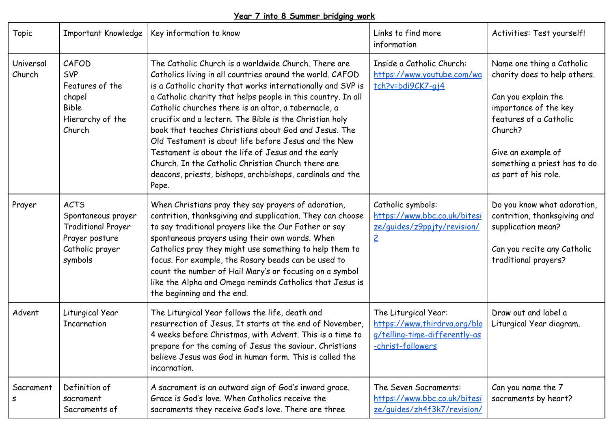## **Year 7 into 8 Summer bridging work**

| Topic               | Important Knowledge                                                                                            | Key information to know                                                                                                                                                                                                                                                                                                                                                                                                                                                                                                                                                                                                                                                | Links to find more<br>information                                                                          | Activities: Test yourself!                                                                                                                                                                                                   |
|---------------------|----------------------------------------------------------------------------------------------------------------|------------------------------------------------------------------------------------------------------------------------------------------------------------------------------------------------------------------------------------------------------------------------------------------------------------------------------------------------------------------------------------------------------------------------------------------------------------------------------------------------------------------------------------------------------------------------------------------------------------------------------------------------------------------------|------------------------------------------------------------------------------------------------------------|------------------------------------------------------------------------------------------------------------------------------------------------------------------------------------------------------------------------------|
| Universal<br>Church | CAFOD<br><b>SVP</b><br>Features of the<br>chapel<br><b>Bible</b><br>Hierarchy of the<br>Church                 | The Catholic Church is a worldwide Church. There are<br>Catholics living in all countries around the world. CAFOD<br>is a Catholic charity that works internationally and SVP is<br>a Catholic charity that helps people in this country. In all<br>Catholic churches there is an altar, a tabernacle, a<br>crucifix and a lectern. The Bible is the Christian holy<br>book that teaches Christians about God and Jesus. The<br>Old Testament is about life before Jesus and the New<br>Testament is about the life of Jesus and the early<br>Church. In the Catholic Christian Church there are<br>deacons, priests, bishops, archbishops, cardinals and the<br>Pope. | Inside a Catholic Church:<br>https://www.youtube.com/wa<br>tch?v=bdi9CK7-gj4                               | Name one thing a Catholic<br>charity does to help others.<br>Can you explain the<br>importance of the key<br>features of a Catholic<br>Church?<br>Give an example of<br>something a priest has to do<br>as part of his role. |
| Prayer              | <b>ACTS</b><br>Spontaneous prayer<br><b>Traditional Prayer</b><br>Prayer posture<br>Catholic prayer<br>symbols | When Christians pray they say prayers of adoration,<br>contrition, thanksgiving and supplication. They can choose<br>to say traditional prayers like the Our Father or say<br>spontaneous prayers using their own words. When<br>Catholics pray they might use something to help them to<br>focus. For example, the Rosary beads can be used to<br>count the number of Hail Mary's or focusing on a symbol<br>like the Alpha and Omega reminds Catholics that Jesus is<br>the beginning and the end.                                                                                                                                                                   | Catholic symbols:<br>https://www.bbc.co.uk/bitesi<br>ze/guides/z9pp.jty/revision/<br>$\leq$                | Do you know what adoration,<br>contrition, thanksgiving and<br>supplication mean?<br>Can you recite any Catholic<br>traditional prayers?                                                                                     |
| Advent              | Liturgical Year<br>Incarnation                                                                                 | The Liturgical Year follows the life, death and<br>resurrection of Jesus. It starts at the end of November,<br>4 weeks before Christmas, with Advent. This is a time to<br>prepare for the coming of Jesus the saviour. Christians<br>believe Jesus was God in human form. This is called the<br>incarnation.                                                                                                                                                                                                                                                                                                                                                          | The Liturgical Year:<br>https://www.thirdrva.org/blo<br>g/telling-time-differently-as<br>-christ-followers | Draw out and label a<br>Liturgical Year diagram.                                                                                                                                                                             |
| Sacrament<br>s      | Definition of<br>sacrament<br>Sacraments of                                                                    | A sacrament is an outward sign of God's inward grace.<br>Grace is God's love. When Catholics receive the<br>sacraments they receive God's love. There are three                                                                                                                                                                                                                                                                                                                                                                                                                                                                                                        | The Seven Sacraments:<br>https://www.bbc.co.uk/bitesi<br>ze/guides/zh4f3k7/revision/                       | Can you name the 7<br>sacraments by heart?                                                                                                                                                                                   |